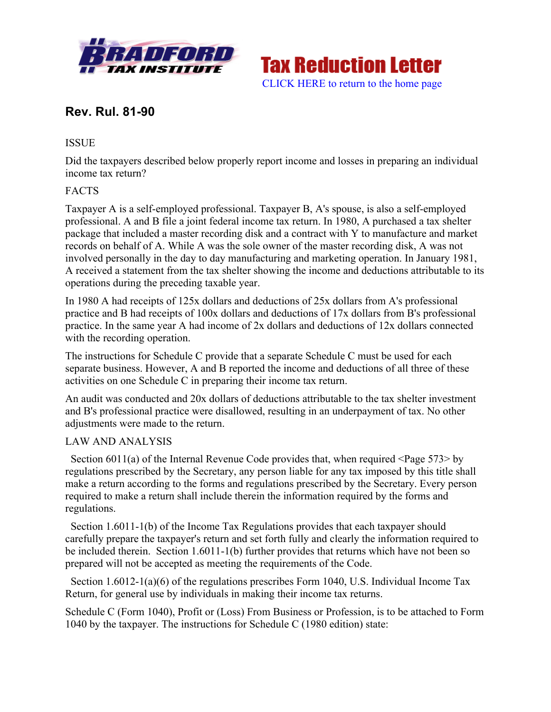



# **Rev. Rul. 81-90**

## **ISSUE**

Did the taxpayers described below properly report income and losses in preparing an individual income tax return?

# FACTS

Taxpayer A is a self-employed professional. Taxpayer B, A's spouse, is also a self-employed professional. A and B file a joint federal income tax return. In 1980, A purchased a tax shelter package that included a master recording disk and a contract with Y to manufacture and market records on behalf of A. While A was the sole owner of the master recording disk, A was not involved personally in the day to day manufacturing and marketing operation. In January 1981, A received a statement from the tax shelter showing the income and deductions attributable to its operations during the preceding taxable year.

In 1980 A had receipts of 125x dollars and deductions of 25x dollars from A's professional practice and B had receipts of 100x dollars and deductions of 17x dollars from B's professional practice. In the same year A had income of 2x dollars and deductions of 12x dollars connected with the recording operation.

The instructions for Schedule C provide that a separate Schedule C must be used for each separate business. However, A and B reported the income and deductions of all three of these activities on one Schedule C in preparing their income tax return.

An audit was conducted and 20x dollars of deductions attributable to the tax shelter investment and B's professional practice were disallowed, resulting in an underpayment of tax. No other adjustments were made to the return.

### LAW AND ANALYSIS

 Section 6011(a) of the Internal Revenue Code provides that, when required <Page 573> by regulations prescribed by the Secretary, any person liable for any tax imposed by this title shall make a return according to the forms and regulations prescribed by the Secretary. Every person required to make a return shall include therein the information required by the forms and regulations.

 Section 1.6011-1(b) of the Income Tax Regulations provides that each taxpayer should carefully prepare the taxpayer's return and set forth fully and clearly the information required to be included therein. Section 1.6011-1(b) further provides that returns which have not been so prepared will not be accepted as meeting the requirements of the Code.

 Section 1.6012-1(a)(6) of the regulations prescribes Form 1040, U.S. Individual Income Tax Return, for general use by individuals in making their income tax returns.

Schedule C (Form 1040), Profit or (Loss) From Business or Profession, is to be attached to Form 1040 by the taxpayer. The instructions for Schedule C (1980 edition) state: